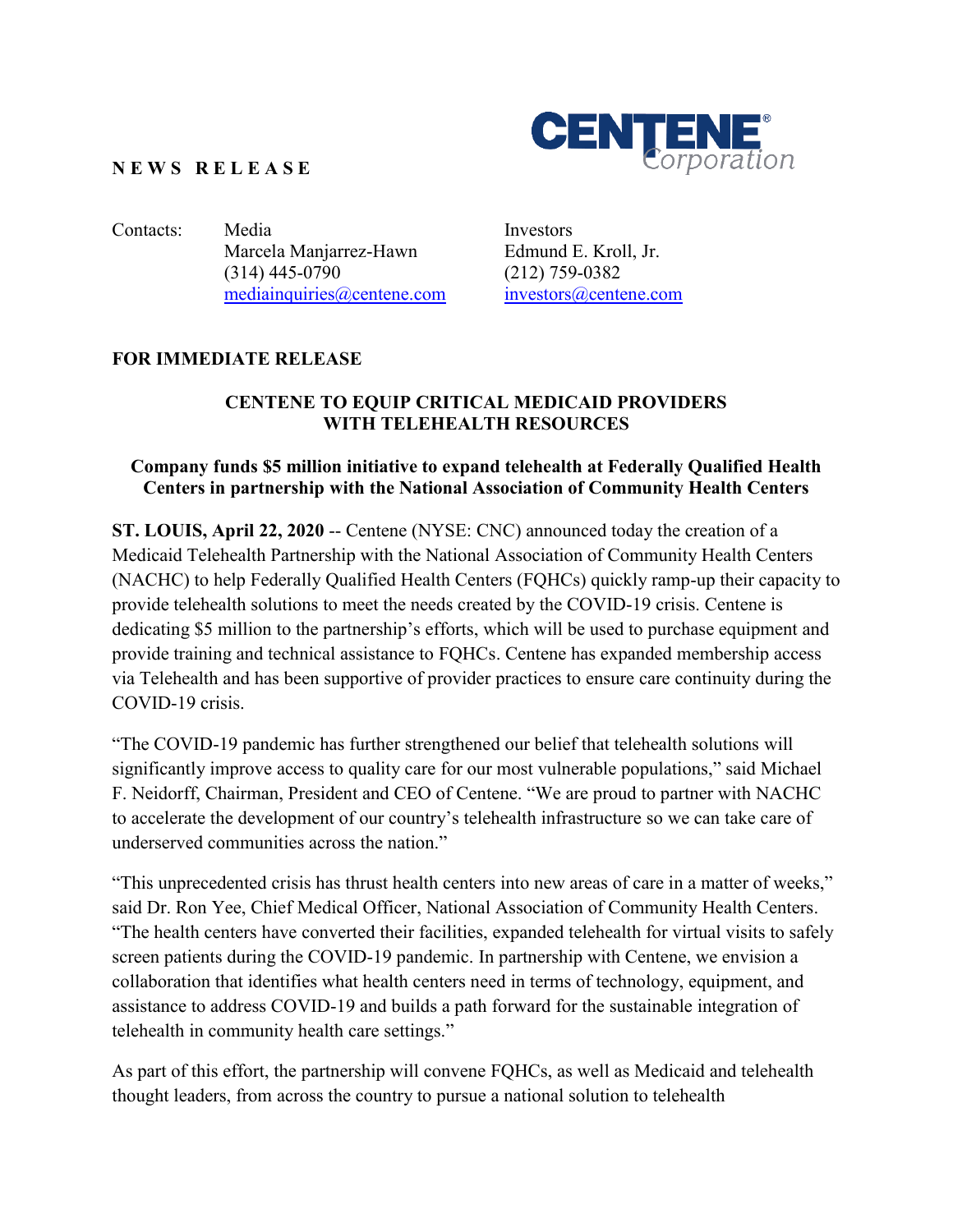

### **N E W S R E L E A S E**

Contacts: Media Marcela Manjarrez-Hawn (314) 445-0790 [mediainquiries@centene.com](mailto:mediainquiries@centene.com)

 Investors Edmund E. Kroll, Jr. (212) 759-0382 [investors@centene.com](mailto:investors@centene.com) 

## **FOR IMMEDIATE RELEASE**

# **CENTENE TO EQUIP CRITICAL MEDICAID PROVIDERS WITH TELEHEALTH RESOURCES**

## **Company funds \$5 million initiative to expand telehealth at Federally Qualified Health Centers in partnership with the National Association of Community Health Centers**

**ST. LOUIS, April 22, 2020** -- Centene (NYSE: CNC) announced today the creation of a Medicaid Telehealth Partnership with the National Association of Community Health Centers (NACHC) to help Federally Qualified Health Centers (FQHCs) quickly ramp-up their capacity to provide telehealth solutions to meet the needs created by the COVID-19 crisis. Centene is dedicating \$5 million to the partnership's efforts, which will be used to purchase equipment and provide training and technical assistance to FQHCs. Centene has expanded membership access via Telehealth and has been supportive of provider practices to ensure care continuity during the COVID-19 crisis.

"The COVID-19 pandemic has further strengthened our belief that telehealth solutions will significantly improve access to quality care for our most vulnerable populations," said Michael F. Neidorff, Chairman, President and CEO of Centene. "We are proud to partner with NACHC to accelerate the development of our country's telehealth infrastructure so we can take care of underserved communities across the nation."

"This unprecedented crisis has thrust health centers into new areas of care in a matter of weeks," said Dr. Ron Yee, Chief Medical Officer, National Association of Community Health Centers. "The health centers have converted their facilities, expanded telehealth for virtual visits to safely screen patients during the COVID-19 pandemic. In partnership with Centene, we envision a collaboration that identifies what health centers need in terms of technology, equipment, and assistance to address COVID-19 and builds a path forward for the sustainable integration of telehealth in community health care settings."

As part of this effort, the partnership will convene FQHCs, as well as Medicaid and telehealth thought leaders, from across the country to pursue a national solution to telehealth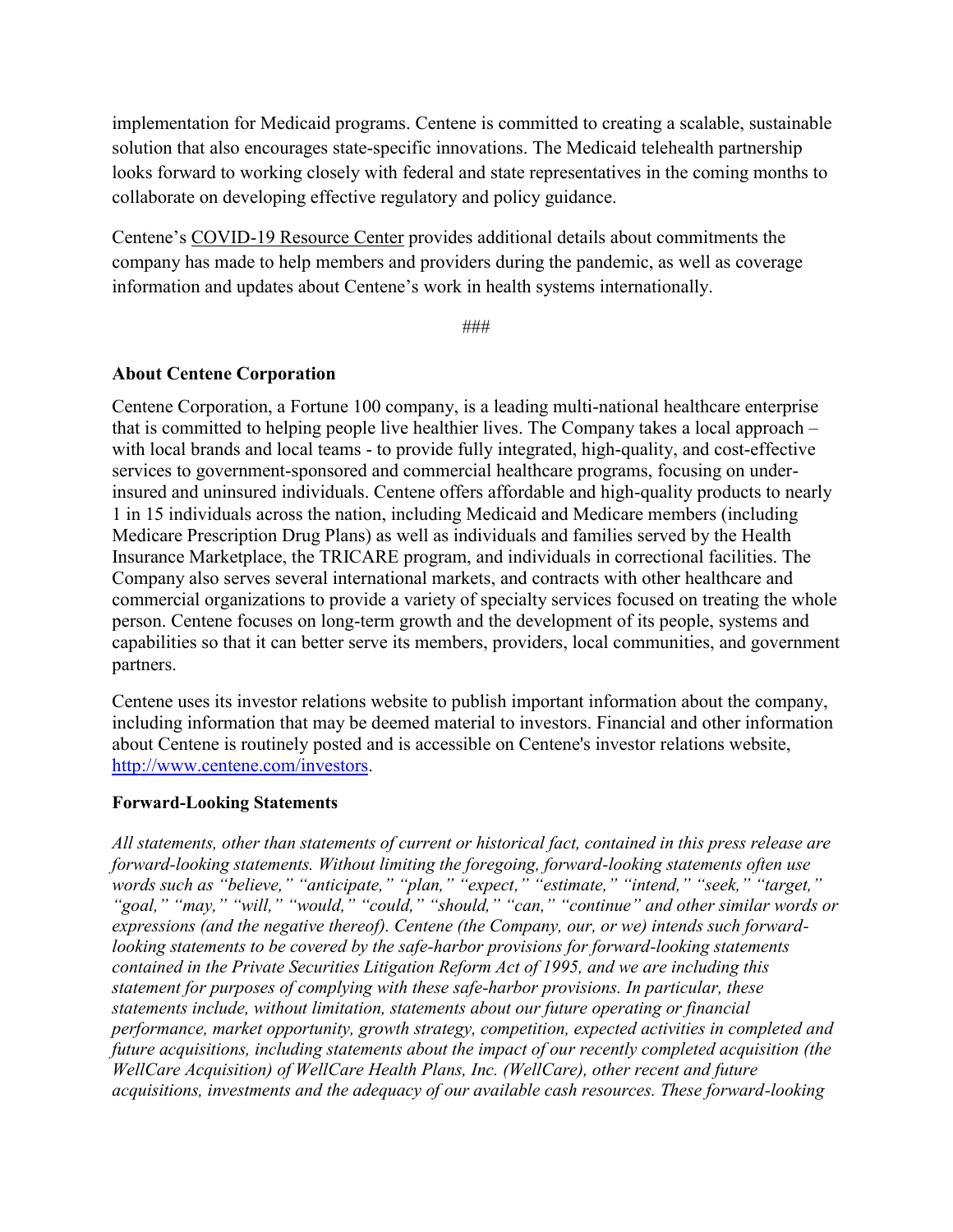implementation for Medicaid programs. Centene is committed to creating a scalable, sustainable solution that also encourages state-specific innovations. The Medicaid telehealth partnership looks forward to working closely with federal and state representatives in the coming months to collaborate on developing effective regulatory and policy guidance.

Centene's [COVID-19 Resource Center](https://www.centene.com/covid-19-resource-center.html) provides additional details about commitments the company has made to help members and providers during the pandemic, as well as coverage information and updates about Centene's work in health systems internationally.

###

### **About Centene Corporation**

Centene Corporation, a Fortune 100 company, is a leading multi-national healthcare enterprise that is committed to helping people live healthier lives. The Company takes a local approach – with local brands and local teams - to provide fully integrated, high-quality, and cost-effective services to government-sponsored and commercial healthcare programs, focusing on underinsured and uninsured individuals. Centene offers affordable and high-quality products to nearly 1 in 15 individuals across the nation, including Medicaid and Medicare members (including Medicare Prescription Drug Plans) as well as individuals and families served by the Health Insurance Marketplace, the TRICARE program, and individuals in correctional facilities. The Company also serves several international markets, and contracts with other healthcare and commercial organizations to provide a variety of specialty services focused on treating the whole person. Centene focuses on long-term growth and the development of its people, systems and capabilities so that it can better serve its members, providers, local communities, and government partners.

Centene uses its investor relations website to publish important information about the company, including information that may be deemed material to investors. Financial and other information about Centene is routinely posted and is accessible on Centene's investor relations website, [http://www.centene.com/investors.](http://www.centene.com/investors)

#### **Forward-Looking Statements**

*All statements, other than statements of current or historical fact, contained in this press release are forward-looking statements. Without limiting the foregoing, forward-looking statements often use words such as "believe," "anticipate," "plan," "expect," "estimate," "intend," "seek," "target," "goal," "may," "will," "would," "could," "should," "can," "continue" and other similar words or expressions (and the negative thereof). Centene (the Company, our, or we) intends such forwardlooking statements to be covered by the safe-harbor provisions for forward-looking statements contained in the Private Securities Litigation Reform Act of 1995, and we are including this statement for purposes of complying with these safe-harbor provisions. In particular, these statements include, without limitation, statements about our future operating or financial performance, market opportunity, growth strategy, competition, expected activities in completed and future acquisitions, including statements about the impact of our recently completed acquisition (the WellCare Acquisition) of WellCare Health Plans, Inc. (WellCare), other recent and future acquisitions, investments and the adequacy of our available cash resources. These forward-looking*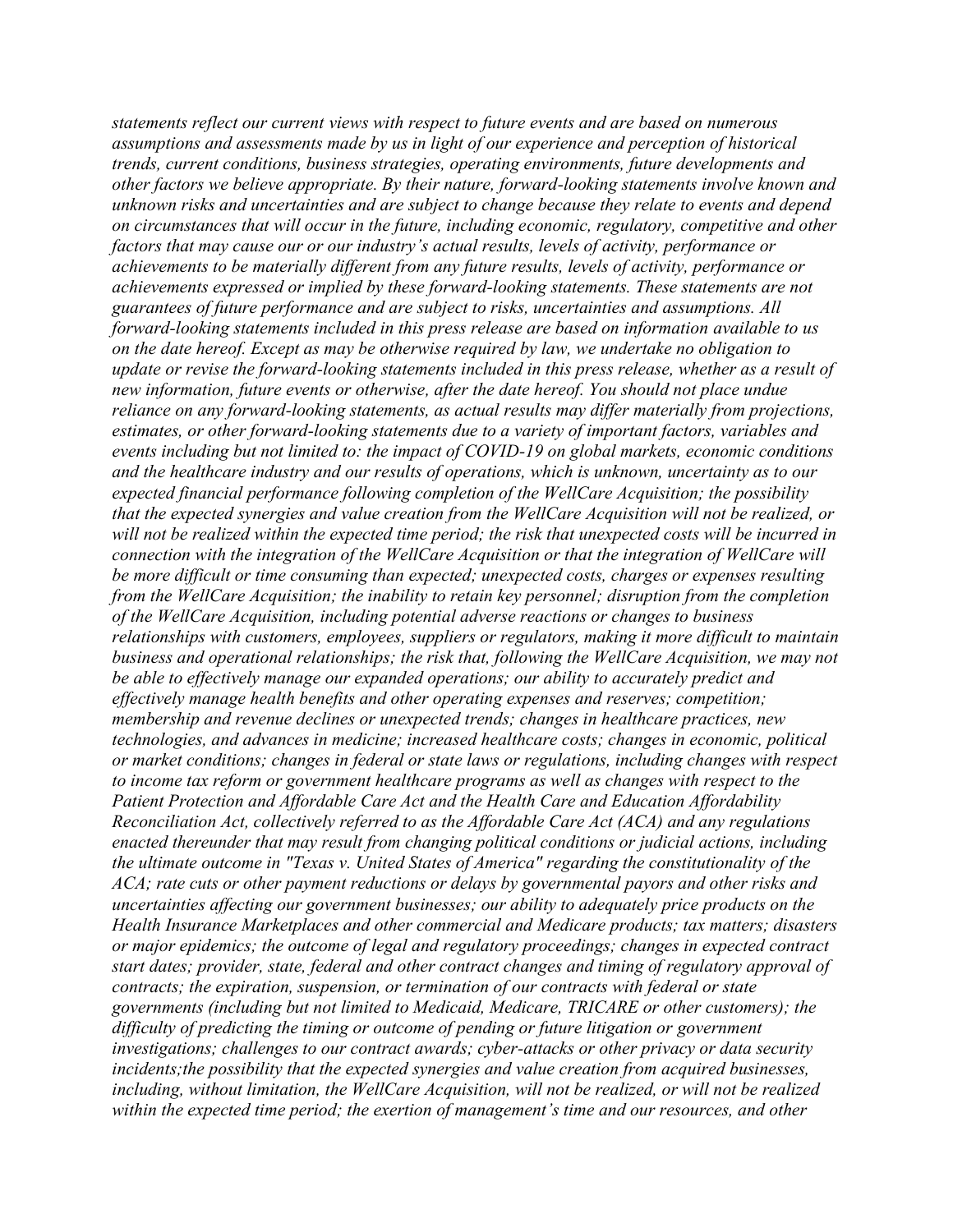*statements reflect our current views with respect to future events and are based on numerous assumptions and assessments made by us in light of our experience and perception of historical trends, current conditions, business strategies, operating environments, future developments and other factors we believe appropriate. By their nature, forward-looking statements involve known and unknown risks and uncertainties and are subject to change because they relate to events and depend on circumstances that will occur in the future, including economic, regulatory, competitive and other factors that may cause our or our industry's actual results, levels of activity, performance or achievements to be materially different from any future results, levels of activity, performance or achievements expressed or implied by these forward-looking statements. These statements are not guarantees of future performance and are subject to risks, uncertainties and assumptions. All forward-looking statements included in this press release are based on information available to us on the date hereof. Except as may be otherwise required by law, we undertake no obligation to update or revise the forward-looking statements included in this press release, whether as a result of new information, future events or otherwise, after the date hereof. You should not place undue reliance on any forward-looking statements, as actual results may differ materially from projections, estimates, or other forward-looking statements due to a variety of important factors, variables and events including but not limited to: the impact of COVID-19 on global markets, economic conditions and the healthcare industry and our results of operations, which is unknown, uncertainty as to our expected financial performance following completion of the WellCare Acquisition; the possibility that the expected synergies and value creation from the WellCare Acquisition will not be realized, or will not be realized within the expected time period; the risk that unexpected costs will be incurred in connection with the integration of the WellCare Acquisition or that the integration of WellCare will be more difficult or time consuming than expected; unexpected costs, charges or expenses resulting from the WellCare Acquisition; the inability to retain key personnel; disruption from the completion of the WellCare Acquisition, including potential adverse reactions or changes to business relationships with customers, employees, suppliers or regulators, making it more difficult to maintain business and operational relationships; the risk that, following the WellCare Acquisition, we may not be able to effectively manage our expanded operations; our ability to accurately predict and effectively manage health benefits and other operating expenses and reserves; competition; membership and revenue declines or unexpected trends; changes in healthcare practices, new technologies, and advances in medicine; increased healthcare costs; changes in economic, political or market conditions; changes in federal or state laws or regulations, including changes with respect to income tax reform or government healthcare programs as well as changes with respect to the Patient Protection and Affordable Care Act and the Health Care and Education Affordability Reconciliation Act, collectively referred to as the Affordable Care Act (ACA) and any regulations enacted thereunder that may result from changing political conditions or judicial actions, including the ultimate outcome in "Texas v. United States of America" regarding the constitutionality of the ACA; rate cuts or other payment reductions or delays by governmental payors and other risks and uncertainties affecting our government businesses; our ability to adequately price products on the Health Insurance Marketplaces and other commercial and Medicare products; tax matters; disasters or major epidemics; the outcome of legal and regulatory proceedings; changes in expected contract start dates; provider, state, federal and other contract changes and timing of regulatory approval of contracts; the expiration, suspension, or termination of our contracts with federal or state governments (including but not limited to Medicaid, Medicare, TRICARE or other customers); the difficulty of predicting the timing or outcome of pending or future litigation or government investigations; challenges to our contract awards; cyber-attacks or other privacy or data security incidents;the possibility that the expected synergies and value creation from acquired businesses, including, without limitation, the WellCare Acquisition, will not be realized, or will not be realized within the expected time period; the exertion of management's time and our resources, and other*